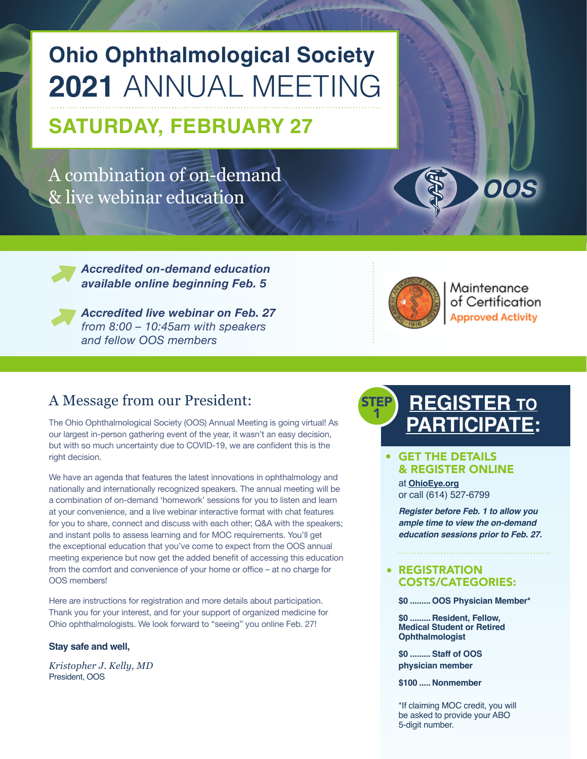# **Ohio Ophthalmological Society 2021** ANNUAL MEETING

## **SATURDAY, FEBRUARY 27**

A combination of on-demand & live webinar education

> *Accredited on-demand education available online beginning Feb. 5*



*Accredited live webinar on Feb. 27 from 8:00 – 10:45am with speakers and fellow OOS members* 

## A Message from our President:

The Ohio Ophthalmological Society (OOS) Annual Meeting is going virtual! As our largest in-person gathering event of the year, it wasn't an easy decision, but with so much uncertainty due to COVID-19, we are confident this is the right decision.

We have an agenda that features the latest innovations in ophthalmology and nationally and internationally recognized speakers. The annual meeting will be a combination of on-demand 'homework' sessions for you to listen and learn at your convenience, and a live webinar interactive format with chat features for you to share, connect and discuss with each other; Q&A with the speakers; and instant polls to assess learning and for MOC requirements. You'll get the exceptional education that you've come to expect from the OOS annual meeting experience but now get the added benefit of accessing this education from the comfort and convenience of your home or office – at no charge for OOS members!

Here are instructions for registration and more details about participation. Thank you for your interest, and for your support of organized medicine for Ohio ophthalmologists. We look forward to "seeing" you online Feb. 27!

#### **Stay safe and well,**

*Kristopher J. Kelly, MD* President, OOS



Maintenance of Certification **Approved Activity** 

**OOS** 

#### **REGISTER TO PARTICIPATE:** STEP 1

#### GET THE DETAILS & REGISTER ONLINE

at **[Ohio](https://www.OhioEye.org)Eye.org** or call (614) 527-6799

*Register before Feb. 1 to allow you ample time to view the on-demand education sessions prior to Feb. 27.*

#### **• REGISTRATION** COSTS/CATEGORIES:

**\$0 .........OOS Physician Member\***

**\$0 ......... Resident, Fellow, Medical Student or Retired Ophthalmologist**

**\$0 .........Staff of OOS physician member** 

**\$100 ..... Nonmember**

\*If claiming MOC credit, you will be asked to provide your ABO 5-digit number.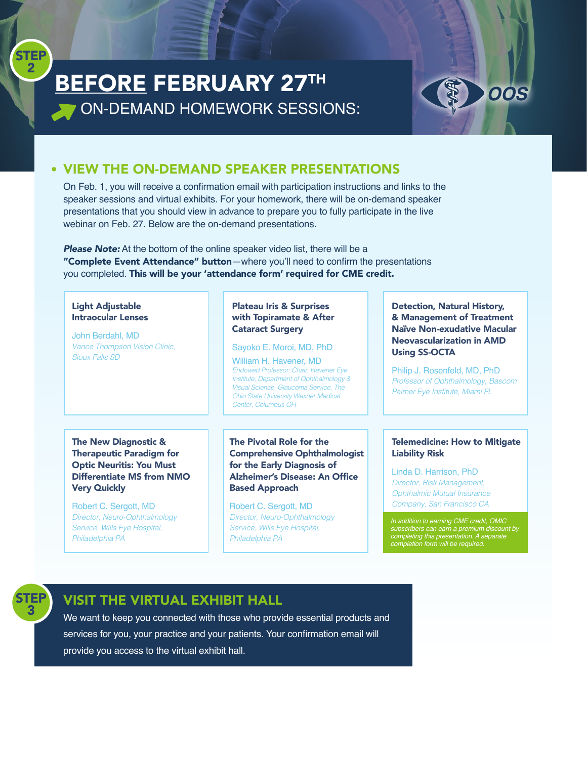## BEFORE FEBRUARY 27TH ON-DEMAND HOMEWORK SESSIONS:



## VIEW THE ON-DEMAND SPEAKER PRESENTATIONS

On Feb. 1, you will receive a confirmation email with participation instructions and links to the speaker sessions and virtual exhibits. For your homework, there will be on-demand speaker presentations that you should view in advance to prepare you to fully participate in the live webinar on Feb. 27. Below are the on-demand presentations.

**Please Note:** At the bottom of the online speaker video list, there will be a "Complete Event Attendance" button—where you'll need to confirm the presentations you completed. This will be your 'attendance form' required for CME credit.

#### Light Adjustable Intraocular Lenses

John Berdahl, MD *Vance Thompson Vision Clinic, Sioux Falls SD*

#### Plateau Iris & Surprises with Topiramate & After Cataract Surgery

Sayoko E. Moroi, MD, PhD William H. Havener, MD *Endowed Professor; Chair, Havener Eye Institute; Department of Ophthalmology & Visual Science, Glaucoma Service, The Ohio State University Wexner Medical Center, Columbus OH*

#### The New Diagnostic & Therapeutic Paradigm for Optic Neuritis: You Must Differentiate MS from NMO Very Quickly

Robert C. Sergott, MD *Director, Neuro-Ophthalmology Service, Wills Eye Hospital, Philadelphia PA*

The Pivotal Role for the Comprehensive Ophthalmologist for the Early Diagnosis of Alzheimer's Disease: An Office Based Approach

Robert C. Sergott, MD *Director, Neuro-Ophthalmology Service, Wills Eye Hospital, Philadelphia PA*

Detection, Natural History, & Management of Treatment Naïve Non-exudative Macular Neovascularization in AMD Using SS-OCTA

Philip J. Rosenfeld, MD, PhD *Professor of Ophthalmology, Bascom Palmer Eye Institute, Miami FL*

#### Telemedicine: How to Mitigate Liability Risk

Linda D. Harrison, PhD *Director, Risk Management, Ophthalmic Mutual Insurance Company, San Francisco CA*

. *subscribers can earn a premium discount by In addition to earning CME credit, OMIC completing this presentation. A separate completion form will be required.*



**STEP** 2

## VISIT THE VIRTUAL EXHIBIT HALL

We want to keep you connected with those who provide essential products and services for you, your practice and your patients. Your confirmation email will provide you access to the virtual exhibit hall.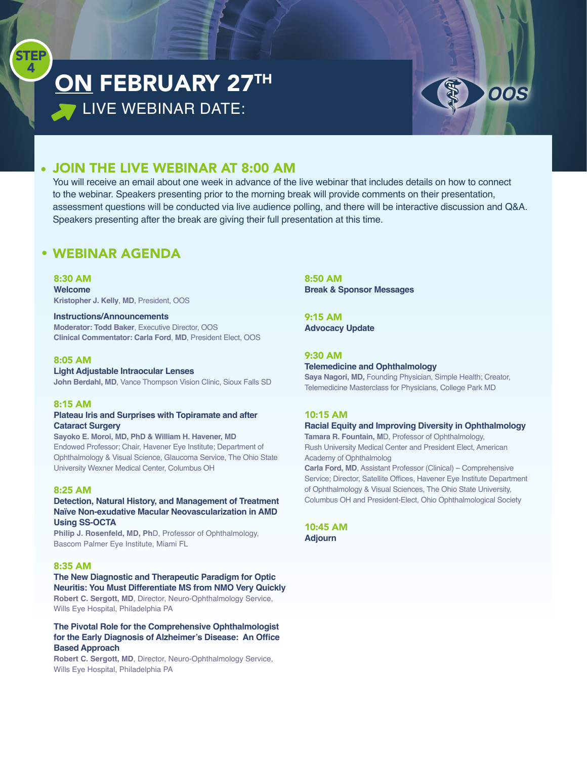## ON FEBRUARY 27TH **LIVE WEBINAR DATE:**



### JOIN THE LIVE WEBINAR AT 8:00 AM

You will receive an email about one week in advance of the live webinar that includes details on how to connect to the webinar. Speakers presenting prior to the morning break will provide comments on their presentation, assessment questions will be conducted via live audience polling, and there will be interactive discussion and Q&A. Speakers presenting after the break are giving their full presentation at this time.

### WEBINAR AGENDA

8:30 AM

**STEP** 4

> **Welcome Kristopher J. Kelly**, **MD**, President, OOS

#### **Instructions/Announcements**

**Moderator: Todd Baker**, Executive Director, OOS **Clinical Commentator: Carla Ford**, **MD**, President Elect, OOS

#### 8:05 AM

**Light Adjustable Intraocular Lenses John Berdahl, MD**, Vance Thompson Vision Clinic, Sioux Falls SD

#### 8:15 AM

#### **Plateau Iris and Surprises with Topiramate and after Cataract Surgery**

**Sayoko E. Moroi, MD, PhD & William H. Havener, MD** Endowed Professor; Chair, Havener Eye Institute; Department of Ophthalmology & Visual Science, Glaucoma Service, The Ohio State University Wexner Medical Center, Columbus OH

#### 8:25 AM

#### **Detection, Natural History, and Management of Treatment Naïve Non-exudative Macular Neovascularization in AMD Using SS-OCTA**

**Philip J. Rosenfeld, MD, Ph**D, Professor of Ophthalmology, Bascom Palmer Eye Institute, Miami FL

#### 8:35 AM

**The New Diagnostic and Therapeutic Paradigm for Optic Neuritis: You Must Differentiate MS from NMO Very Quickly Robert C. Sergott, MD**, Director, Neuro-Ophthalmology Service, Wills Eye Hospital, Philadelphia PA

**The Pivotal Role for the Comprehensive Ophthalmologist for the Early Diagnosis of Alzheimer's Disease: An Office Based Approach**

**Robert C. Sergott, MD**, Director, Neuro-Ophthalmology Service, Wills Eye Hospital, Philadelphia PA

8:50 AM **Break & Sponsor Messages**

9:15 AM **Advocacy Update**

#### 9:30 AM

#### **Telemedicine and Ophthalmology**

**Saya Nagori, MD,** Founding Physician, Simple Health; Creator, Telemedicine Masterclass for Physicians, College Park MD

#### 10:15 AM

#### **Racial Equity and Improving Diversity in Ophthalmology**

**Tamara R. Fountain, M**D, Professor of Ophthalmology, Rush University Medical Center and President Elect, American Academy of Ophthalmolog

**Carla Ford, MD**, Assistant Professor (Clinical) – Comprehensive Service; Director, Satellite Offices, Havener Eye Institute Department of Ophthalmology & Visual Sciences, The Ohio State University, Columbus OH and President-Elect, Ohio Ophthalmological Society

10:45 AM **Adjourn**